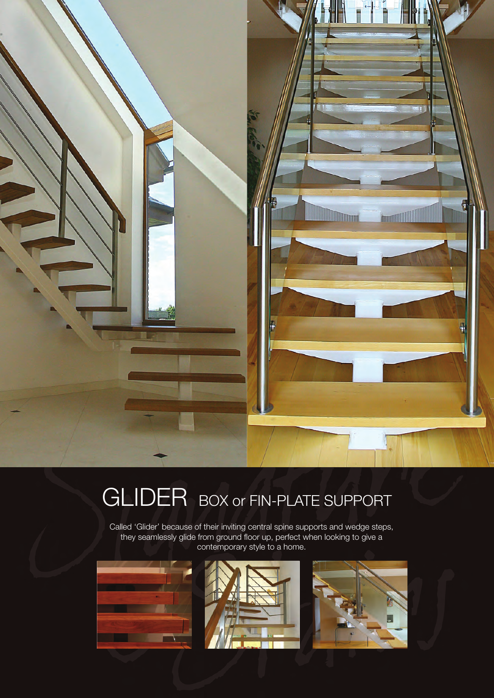

## GLIDER BOX or FIN-PLATE SUPPORT

Called 'Glider' because of their inviting central spine supports and wedge steps, they seamlessly glide from ground floor up, perfect when looking to give a contemporary style to a home.